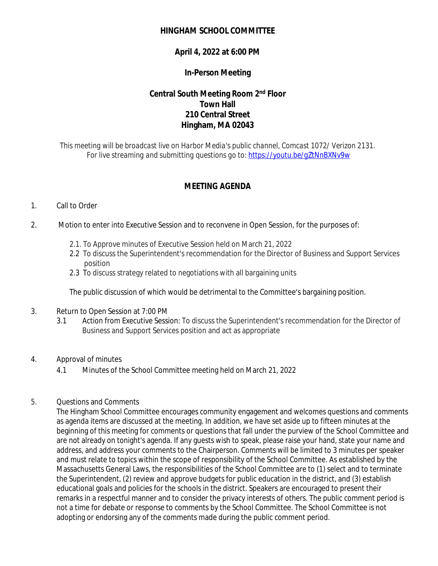## **HINGHAM SCHOOL COMMITTEE**

# **April 4, 2022 at 6:00 PM**

## **In-Person Meeting**

# **Central South Meeting Room 2nd Floor Town Hall 210 Central Street Hingham, MA 02043**

*This meeting will be broadcast live on Harbor Media's public channel, Comcast 1072/ Verizon 2131. For live streaming and submitting questions go to:<https://youtu.be/gZtNnBXNv9w>*

# **MEETING AGENDA**

## 1. Call to Order

- 2. Motion to enter into Executive Session and to reconvene in Open Session, for the purposes of:
	- 2.1. To Approve minutes of Executive Session held on March 21, 2022
	- 2.2 To discuss the Superintendent's recommendation for the Director of Business and Support Services position
	- 2.3 To discuss strategy related to negotiations with all bargaining units

The public discussion of which would be detrimental to the Committee's bargaining position.

- 3. Return to Open Session at 7:00 PM
	- 3.1 Action from Executive Session: To discuss the Superintendent's recommendation for the Director of Business and Support Services position and act as appropriate
- 4. Approval of minutes
	- 4.1 Minutes of the School Committee meeting held on March 21, 2022

## 5. Questions and Comments

The Hingham School Committee encourages community engagement and welcomes questions and comments as agenda items are discussed at the meeting. In addition, we have set aside up to fifteen minutes at the beginning of this meeting for comments or questions that fall under the purview of the School Committee and are not already on tonight's agenda. If any guests wish to speak, please raise your hand, state your name and address, and address your comments to the Chairperson. Comments will be limited to 3 minutes per speaker and must relate to topics within the scope of responsibility of the School Committee. As established by the Massachusetts General Laws, the responsibilities of the School Committee are to (1) select and to terminate the Superintendent, (2) review and approve budgets for public education in the district, and (3) establish educational goals and policies for the schools in the district. Speakers are encouraged to present their remarks in a respectful manner and to consider the privacy interests of others. The public comment period is not a time for debate or response to comments by the School Committee. The School Committee is not adopting or endorsing any of the comments made during the public comment period.